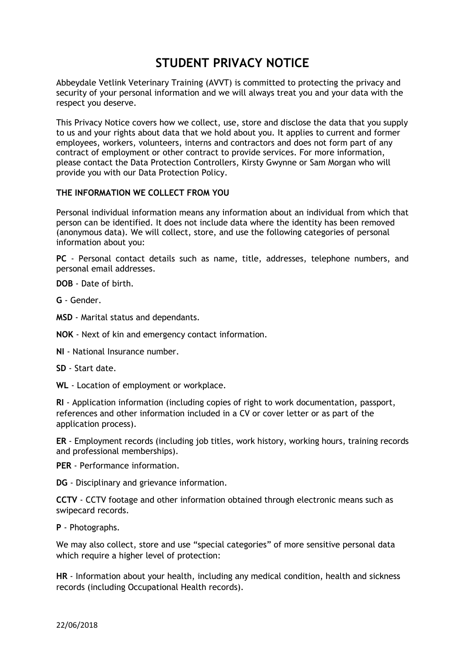# **STUDENT PRIVACY NOTICE**

Abbeydale Vetlink Veterinary Training (AVVT) is committed to protecting the privacy and security of your personal information and we will always treat you and your data with the respect you deserve.

This Privacy Notice covers how we collect, use, store and disclose the data that you supply to us and your rights about data that we hold about you. It applies to current and former employees, workers, volunteers, interns and contractors and does not form part of any contract of employment or other contract to provide services. For more information, please contact the Data Protection Controllers, Kirsty Gwynne or Sam Morgan who will provide you with our Data Protection Policy.

## **THE INFORMATION WE COLLECT FROM YOU**

Personal individual information means any information about an individual from which that person can be identified. It does not include data where the identity has been removed (anonymous data). We will collect, store, and use the following categories of personal information about you:

**PC** - Personal contact details such as name, title, addresses, telephone numbers, and personal email addresses.

**DOB** - Date of birth.

**G** - Gender.

**MSD** - Marital status and dependants.

**NOK** - Next of kin and emergency contact information.

**NI** - National Insurance number.

**SD** - Start date.

**WL** - Location of employment or workplace.

**RI** - Application information (including copies of right to work documentation, passport, references and other information included in a CV or cover letter or as part of the application process).

**ER** - Employment records (including job titles, work history, working hours, training records and professional memberships).

**PER** - Performance information.

**DG** - Disciplinary and grievance information.

**CCTV** - CCTV footage and other information obtained through electronic means such as swipecard records.

**P** - Photographs.

We may also collect, store and use "special categories" of more sensitive personal data which require a higher level of protection:

**HR** - Information about your health, including any medical condition, health and sickness records (including Occupational Health records).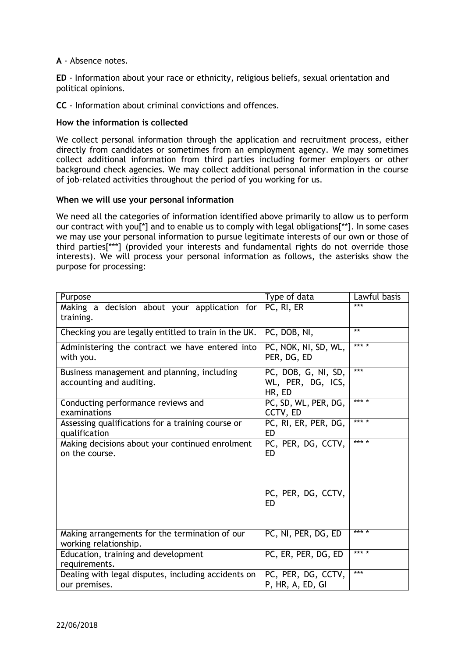**A** - Absence notes.

**ED** - Information about your race or ethnicity, religious beliefs, sexual orientation and political opinions.

**CC** - Information about criminal convictions and offences.

## **How the information is collected**

We collect personal information through the application and recruitment process, either directly from candidates or sometimes from an employment agency. We may sometimes collect additional information from third parties including former employers or other background check agencies. We may collect additional personal information in the course of job-related activities throughout the period of you working for us.

#### **When we will use your personal information**

We need all the categories of information identified above primarily to allow us to perform our contract with you[\*] and to enable us to comply with legal obligations[\*\*]. In some cases we may use your personal information to pursue legitimate interests of our own or those of third parties[\*\*\*] (provided your interests and fundamental rights do not override those interests). We will process your personal information as follows, the asterisks show the purpose for processing:

| Purpose                                                                 | Type of data                                       | Lawful basis |
|-------------------------------------------------------------------------|----------------------------------------------------|--------------|
| Making a decision about your application for<br>training.               | PC, RI, ER                                         | ***          |
| Checking you are legally entitled to train in the UK.                   | PC, DOB, NI,                                       | **           |
| Administering the contract we have entered into<br>with you.            | PC, NOK, NI, SD, WL,<br>PER, DG, ED                | *** *        |
| Business management and planning, including<br>accounting and auditing. | PC, DOB, G, NI, SD,<br>WL, PER, DG, ICS,<br>HR, ED | ***          |
| Conducting performance reviews and<br>examinations                      | PC, SD, WL, PER, DG,<br>CCTV, ED                   | *** *        |
| Assessing qualifications for a training course or<br>qualification      | PC, RI, ER, PER, DG,<br>ED                         | *** *        |
| Making decisions about your continued enrolment<br>on the course.       | PC, PER, DG, CCTV,<br><b>ED</b>                    | *** *        |
|                                                                         | PC, PER, DG, CCTV,<br>ED                           |              |
| Making arrangements for the termination of our<br>working relationship. | PC, NI, PER, DG, ED                                | *** *        |
| Education, training and development<br>requirements.                    | PC, ER, PER, DG, ED                                | *** *        |
| Dealing with legal disputes, including accidents on<br>our premises.    | PC, PER, DG, CCTV,<br>P, HR, A, ED, GI             | ***          |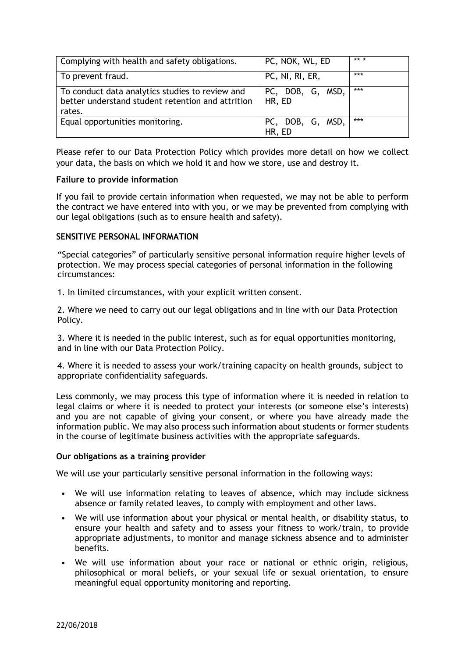| Complying with health and safety obligations.                                                                  | PC, NOK, WL, ED            | ** * |
|----------------------------------------------------------------------------------------------------------------|----------------------------|------|
| To prevent fraud.                                                                                              | PC, NI, RI, ER,            | ***  |
| To conduct data analytics studies to review and<br>better understand student retention and attrition<br>rates. | PC, DOB, G, MSD,<br>HR, ED | ***  |
| Equal opportunities monitoring.                                                                                | PC, DOB, G, MSD,<br>HR, ED | ***  |

Please refer to our Data Protection Policy which provides more detail on how we collect your data, the basis on which we hold it and how we store, use and destroy it.

# **Failure to provide information**

If you fail to provide certain information when requested, we may not be able to perform the contract we have entered into with you, or we may be prevented from complying with our legal obligations (such as to ensure health and safety).

## **SENSITIVE PERSONAL INFORMATION**

"Special categories" of particularly sensitive personal information require higher levels of protection. We may process special categories of personal information in the following circumstances:

1. In limited circumstances, with your explicit written consent.

2. Where we need to carry out our legal obligations and in line with our Data Protection Policy.

3. Where it is needed in the public interest, such as for equal opportunities monitoring, and in line with our Data Protection Policy.

4. Where it is needed to assess your work/training capacity on health grounds, subject to appropriate confidentiality safeguards.

Less commonly, we may process this type of information where it is needed in relation to legal claims or where it is needed to protect your interests (or someone else's interests) and you are not capable of giving your consent, or where you have already made the information public. We may also process such information about students or former students in the course of legitimate business activities with the appropriate safeguards.

#### **Our obligations as a training provider**

We will use your particularly sensitive personal information in the following ways:

- We will use information relating to leaves of absence, which may include sickness absence or family related leaves, to comply with employment and other laws.
- We will use information about your physical or mental health, or disability status, to ensure your health and safety and to assess your fitness to work/train, to provide appropriate adjustments, to monitor and manage sickness absence and to administer benefits.
- We will use information about your race or national or ethnic origin, religious, philosophical or moral beliefs, or your sexual life or sexual orientation, to ensure meaningful equal opportunity monitoring and reporting.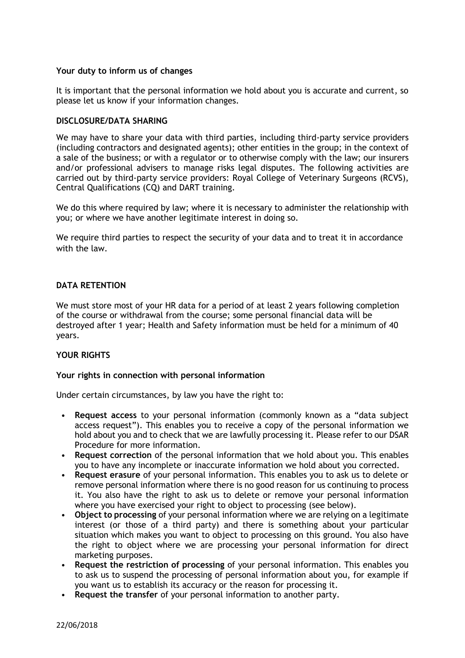## **Your duty to inform us of changes**

It is important that the personal information we hold about you is accurate and current, so please let us know if your information changes.

## **DISCLOSURE/DATA SHARING**

We may have to share your data with third parties, including third-party service providers (including contractors and designated agents); other entities in the group; in the context of a sale of the business; or with a regulator or to otherwise comply with the law; our insurers and/or professional advisers to manage risks legal disputes. The following activities are carried out by third-party service providers: Royal College of Veterinary Surgeons (RCVS), Central Qualifications (CQ) and DART training.

We do this where required by law; where it is necessary to administer the relationship with you; or where we have another legitimate interest in doing so.

We require third parties to respect the security of your data and to treat it in accordance with the law.

# **DATA RETENTION**

We must store most of your HR data for a period of at least 2 years following completion of the course or withdrawal from the course; some personal financial data will be destroyed after 1 year; Health and Safety information must be held for a minimum of 40 years.

# **YOUR RIGHTS**

# **Your rights in connection with personal information**

Under certain circumstances, by law you have the right to:

- **Request access** to your personal information (commonly known as a "data subject access request"). This enables you to receive a copy of the personal information we hold about you and to check that we are lawfully processing it. Please refer to our DSAR Procedure for more information.
- **Request correction** of the personal information that we hold about you. This enables you to have any incomplete or inaccurate information we hold about you corrected.
- **Request erasure** of your personal information. This enables you to ask us to delete or remove personal information where there is no good reason for us continuing to process it. You also have the right to ask us to delete or remove your personal information where you have exercised your right to object to processing (see below).
- **Object to processing** of your personal information where we are relying on a legitimate interest (or those of a third party) and there is something about your particular situation which makes you want to object to processing on this ground. You also have the right to object where we are processing your personal information for direct marketing purposes.
- **Request the restriction of processing** of your personal information. This enables you to ask us to suspend the processing of personal information about you, for example if you want us to establish its accuracy or the reason for processing it.
- **Request the transfer** of your personal information to another party.